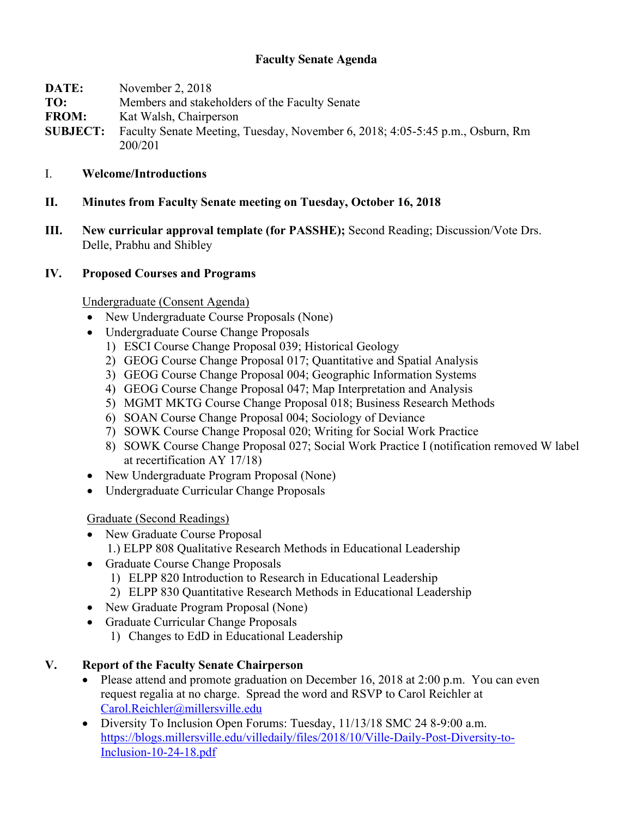## **Faculty Senate Agenda**

| DATE:           | November 2, 2018                                                              |
|-----------------|-------------------------------------------------------------------------------|
| TO:             | Members and stakeholders of the Faculty Senate                                |
| <b>FROM:</b>    | Kat Walsh, Chairperson                                                        |
| <b>SUBJECT:</b> | Faculty Senate Meeting, Tuesday, November 6, 2018; 4:05-5:45 p.m., Osburn, Rm |
|                 | 200/201                                                                       |

#### I. **Welcome/Introductions**

#### **II. Minutes from Faculty Senate meeting on Tuesday, October 16, 2018**

**III. New curricular approval template (for PASSHE);** Second Reading; Discussion/Vote Drs. Delle, Prabhu and Shibley

#### **IV. Proposed Courses and Programs**

Undergraduate (Consent Agenda)

- New Undergraduate Course Proposals (None)
- Undergraduate Course Change Proposals
	- 1) ESCI Course Change Proposal 039; Historical Geology
	- 2) GEOG Course Change Proposal 017; Quantitative and Spatial Analysis
	- 3) GEOG Course Change Proposal 004; Geographic Information Systems
	- 4) GEOG Course Change Proposal 047; Map Interpretation and Analysis
	- 5) MGMT MKTG Course Change Proposal 018; Business Research Methods
	- 6) SOAN Course Change Proposal 004; Sociology of Deviance
	- 7) SOWK Course Change Proposal 020; Writing for Social Work Practice
	- 8) SOWK Course Change Proposal 027; Social Work Practice I (notification removed W label at recertification AY 17/18)
- New Undergraduate Program Proposal (None)
- Undergraduate Curricular Change Proposals

### Graduate (Second Readings)

- New Graduate Course Proposal 1.) ELPP 808 Qualitative Research Methods in Educational Leadership
- Graduate Course Change Proposals
	- 1) ELPP 820 Introduction to Research in Educational Leadership
	- 2) ELPP 830 Quantitative Research Methods in Educational Leadership
- New Graduate Program Proposal (None)
- Graduate Curricular Change Proposals
	- 1) Changes to EdD in Educational Leadership

### **V. Report of the Faculty Senate Chairperson**

- Please attend and promote graduation on December 16, 2018 at 2:00 p.m. You can even request regalia at no charge. Spread the word and RSVP to Carol Reichler at Carol.Reichler@millersville.edu
- Diversity To Inclusion Open Forums: Tuesday, 11/13/18 SMC 24 8-9:00 a.m. https://blogs.millersville.edu/villedaily/files/2018/10/Ville-Daily-Post-Diversity-to-Inclusion-10-24-18.pdf